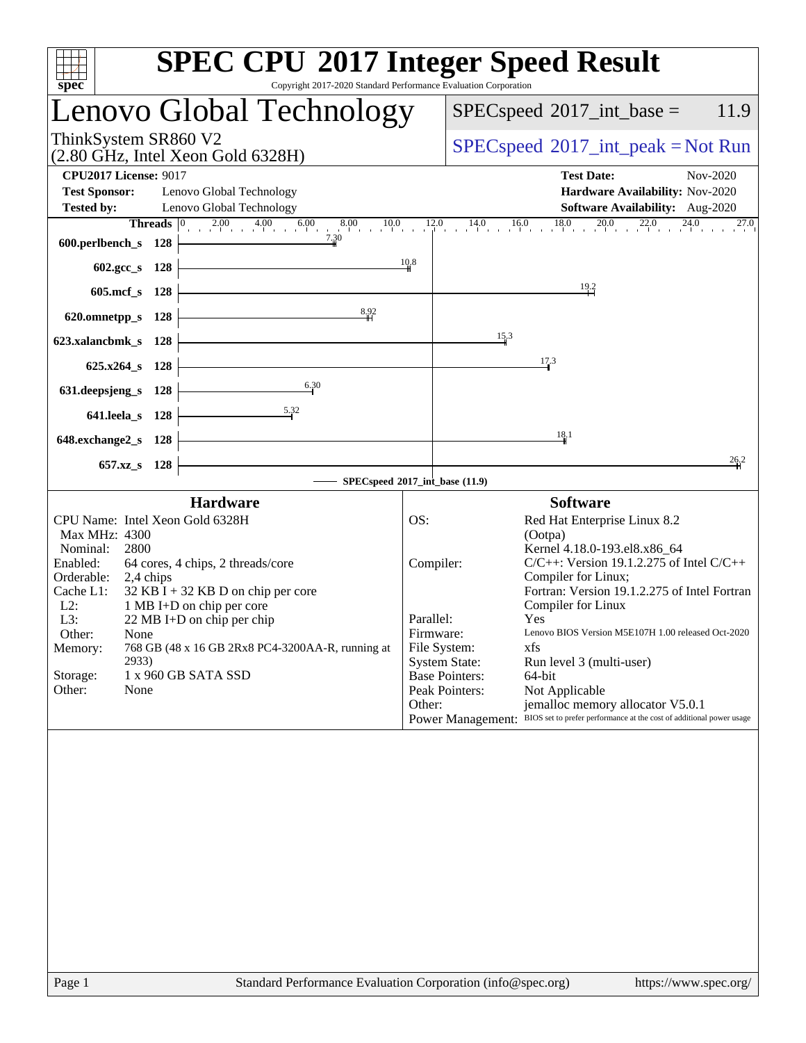| <b>SPEC CPU®2017 Integer Speed Result</b><br>Copyright 2017-2020 Standard Performance Evaluation Corporation<br>spec <sup>®</sup>                                                                                                                                                                                                                                                                                                                   |                                                                                                                                                                                                                                                                                                                                                                                                                                                                                                                                                                                                                                                      |  |  |  |  |  |
|-----------------------------------------------------------------------------------------------------------------------------------------------------------------------------------------------------------------------------------------------------------------------------------------------------------------------------------------------------------------------------------------------------------------------------------------------------|------------------------------------------------------------------------------------------------------------------------------------------------------------------------------------------------------------------------------------------------------------------------------------------------------------------------------------------------------------------------------------------------------------------------------------------------------------------------------------------------------------------------------------------------------------------------------------------------------------------------------------------------------|--|--|--|--|--|
| Lenovo Global Technology                                                                                                                                                                                                                                                                                                                                                                                                                            | $SPEC speed^{\circ}2017\_int\_base =$<br>11.9                                                                                                                                                                                                                                                                                                                                                                                                                                                                                                                                                                                                        |  |  |  |  |  |
| ThinkSystem SR860 V2<br>$(2.80 \text{ GHz}, \text{Intel Xeon Gold } 6328\text{H})$                                                                                                                                                                                                                                                                                                                                                                  | $SPEC speed^{\circ}2017\_int\_peak = Not Run$                                                                                                                                                                                                                                                                                                                                                                                                                                                                                                                                                                                                        |  |  |  |  |  |
| <b>CPU2017 License: 9017</b><br><b>Test Sponsor:</b><br>Lenovo Global Technology<br><b>Tested by:</b><br>Lenovo Global Technology                                                                                                                                                                                                                                                                                                                   | <b>Test Date:</b><br>Nov-2020<br>Hardware Availability: Nov-2020<br>Software Availability: Aug-2020                                                                                                                                                                                                                                                                                                                                                                                                                                                                                                                                                  |  |  |  |  |  |
| <b>Threads</b> $\begin{bmatrix} 0 & 2.00 & 4.00 & 6.00 & 8.00 & 10.0 \end{bmatrix}$<br>600.perlbench_s 128                                                                                                                                                                                                                                                                                                                                          | 0 14.0 16.0 18.0 20.0 22.0 24.0<br>12.0<br>27.0                                                                                                                                                                                                                                                                                                                                                                                                                                                                                                                                                                                                      |  |  |  |  |  |
| 602.gcc_s 128<br>605.mcf s 128                                                                                                                                                                                                                                                                                                                                                                                                                      | 10.8<br>$\frac{19.2}{1}$                                                                                                                                                                                                                                                                                                                                                                                                                                                                                                                                                                                                                             |  |  |  |  |  |
| 8,92<br>620.omnetpp_s 128                                                                                                                                                                                                                                                                                                                                                                                                                           | 15.3                                                                                                                                                                                                                                                                                                                                                                                                                                                                                                                                                                                                                                                 |  |  |  |  |  |
| 623.xalancbmk_s 128<br>625.x264_s 128                                                                                                                                                                                                                                                                                                                                                                                                               | 17.3                                                                                                                                                                                                                                                                                                                                                                                                                                                                                                                                                                                                                                                 |  |  |  |  |  |
| 6.30<br>631.deepsjeng_s 128<br>5.32<br>641.leela_s 128                                                                                                                                                                                                                                                                                                                                                                                              |                                                                                                                                                                                                                                                                                                                                                                                                                                                                                                                                                                                                                                                      |  |  |  |  |  |
| 648.exchange2_s 128                                                                                                                                                                                                                                                                                                                                                                                                                                 | 18.1                                                                                                                                                                                                                                                                                                                                                                                                                                                                                                                                                                                                                                                 |  |  |  |  |  |
| $657.xz$ <sub>S</sub><br>128                                                                                                                                                                                                                                                                                                                                                                                                                        | 26.2<br>SPECspeed®2017_int_base (11.9)                                                                                                                                                                                                                                                                                                                                                                                                                                                                                                                                                                                                               |  |  |  |  |  |
| <b>Hardware</b><br>CPU Name: Intel Xeon Gold 6328H<br>Max MHz: 4300<br>Nominal:<br>2800<br>Enabled:<br>64 cores, 4 chips, 2 threads/core<br>Orderable:<br>2,4 chips<br>$32$ KB I + 32 KB D on chip per core<br>Cache L1:<br>$L2$ :<br>1 MB I+D on chip per core<br>L3:<br>22 MB I+D on chip per chip<br>Other:<br>None<br>768 GB (48 x 16 GB 2Rx8 PC4-3200AA-R, running at<br>Memory:<br>2933)<br>1 x 960 GB SATA SSD<br>Storage:<br>Other:<br>None | <b>Software</b><br>OS:<br>Red Hat Enterprise Linux 8.2<br>(Ootpa)<br>Kernel 4.18.0-193.el8.x86_64<br>$C/C++$ : Version 19.1.2.275 of Intel $C/C++$<br>Compiler:<br>Compiler for Linux;<br>Fortran: Version 19.1.2.275 of Intel Fortran<br>Compiler for Linux<br>Parallel:<br><b>Yes</b><br>Lenovo BIOS Version M5E107H 1.00 released Oct-2020<br>Firmware:<br>File System:<br>xfs<br><b>System State:</b><br>Run level 3 (multi-user)<br><b>Base Pointers:</b><br>64-bit<br>Peak Pointers:<br>Not Applicable<br>Other:<br>jemalloc memory allocator V5.0.1<br>Power Management: BIOS set to prefer performance at the cost of additional power usage |  |  |  |  |  |
|                                                                                                                                                                                                                                                                                                                                                                                                                                                     |                                                                                                                                                                                                                                                                                                                                                                                                                                                                                                                                                                                                                                                      |  |  |  |  |  |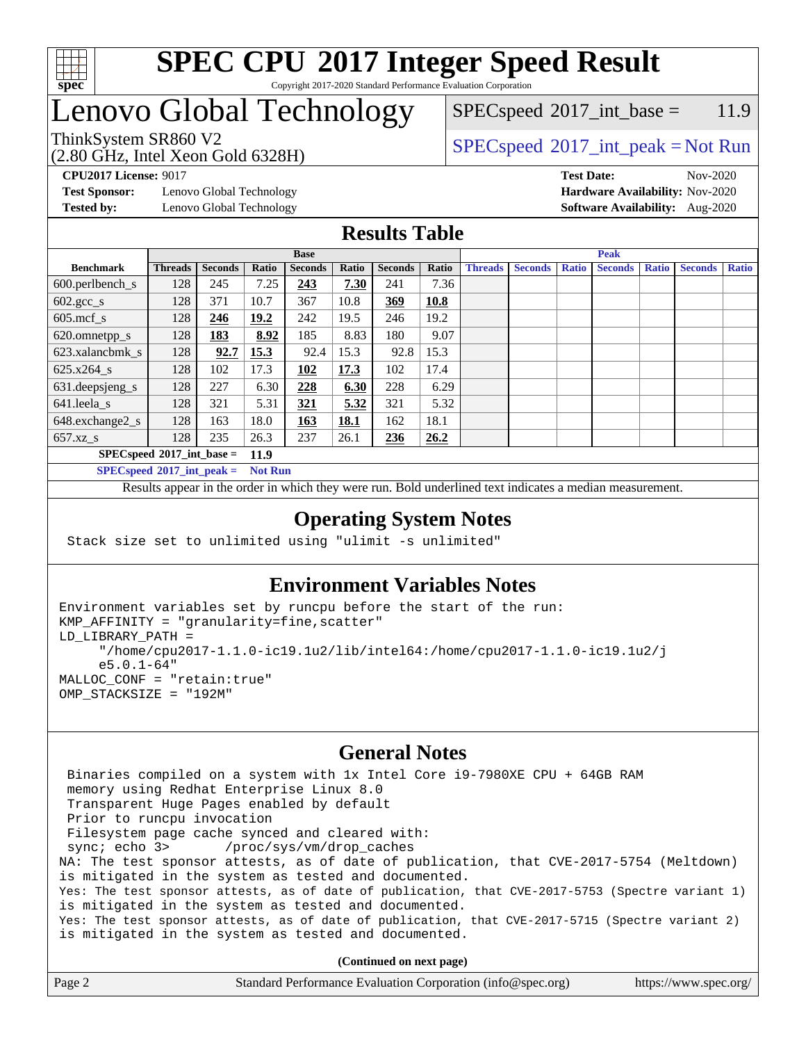

#### **[SPEC CPU](http://www.spec.org/auto/cpu2017/Docs/result-fields.html#SPECCPU2017IntegerSpeedResult)[2017 Integer Speed Result](http://www.spec.org/auto/cpu2017/Docs/result-fields.html#SPECCPU2017IntegerSpeedResult)** Copyright 2017-2020 Standard Performance Evaluation Corporation

## Lenovo Global Technology

(2.80 GHz, Intel Xeon Gold 6328H)

 $SPEC speed^{\circ}2017\_int\_base = 11.9$ 

#### ThinkSystem SR860 V2  $\begin{array}{c} \text{SPEC speed} \textdegree 2017\_int\_peak = Not Run \end{array}$

**[CPU2017 License:](http://www.spec.org/auto/cpu2017/Docs/result-fields.html#CPU2017License)** 9017 **[Test Date:](http://www.spec.org/auto/cpu2017/Docs/result-fields.html#TestDate)** Nov-2020

**[Test Sponsor:](http://www.spec.org/auto/cpu2017/Docs/result-fields.html#TestSponsor)** Lenovo Global Technology **[Hardware Availability:](http://www.spec.org/auto/cpu2017/Docs/result-fields.html#HardwareAvailability)** Nov-2020 **[Tested by:](http://www.spec.org/auto/cpu2017/Docs/result-fields.html#Testedby)** Lenovo Global Technology **[Software Availability:](http://www.spec.org/auto/cpu2017/Docs/result-fields.html#SoftwareAvailability)** Aug-2020

#### **[Results Table](http://www.spec.org/auto/cpu2017/Docs/result-fields.html#ResultsTable)**

|                                     | <b>Base</b>    |                |       |                | <b>Peak</b> |                |       |                |                |              |                |              |                |              |
|-------------------------------------|----------------|----------------|-------|----------------|-------------|----------------|-------|----------------|----------------|--------------|----------------|--------------|----------------|--------------|
| <b>Benchmark</b>                    | <b>Threads</b> | <b>Seconds</b> | Ratio | <b>Seconds</b> | Ratio       | <b>Seconds</b> | Ratio | <b>Threads</b> | <b>Seconds</b> | <b>Ratio</b> | <b>Seconds</b> | <b>Ratio</b> | <b>Seconds</b> | <b>Ratio</b> |
| $600.$ perlbench_s                  | 128            | 245            | 7.25  | 243            | 7.30        | 241            | 7.36  |                |                |              |                |              |                |              |
| $602.\text{gcc}\_\text{s}$          | 128            | 371            | 10.7  | 367            | 10.8        | 369            | 10.8  |                |                |              |                |              |                |              |
| $605$ .mcf s                        | 128            | 246            | 19.2  | 242            | 19.5        | 246            | 19.2  |                |                |              |                |              |                |              |
| 620.omnetpp_s                       | 128            | <u>183</u>     | 8.92  | 185            | 8.83        | 180            | 9.07  |                |                |              |                |              |                |              |
| 623.xalancbmk s                     | 128            | 92.7           | 15.3  | 92.4           | 15.3        | 92.8           | 15.3  |                |                |              |                |              |                |              |
| $625.x264$ s                        | 128            | 102            | 17.3  | 102            | 17.3        | 102            | 17.4  |                |                |              |                |              |                |              |
| 631.deepsjeng_s                     | 128            | 227            | 6.30  | 228            | 6.30        | 228            | 6.29  |                |                |              |                |              |                |              |
| 641.leela s                         | 128            | 321            | 5.31  | 321            | 5.32        | 321            | 5.32  |                |                |              |                |              |                |              |
| 648.exchange2_s                     | 128            | 163            | 18.0  | 163            | 18.1        | 162            | 18.1  |                |                |              |                |              |                |              |
| $657.xz$ s                          | 128            | 235            | 26.3  | 237            | 26.1        | 236            | 26.2  |                |                |              |                |              |                |              |
| $SPECspeed*2017$ int base =<br>11.9 |                |                |       |                |             |                |       |                |                |              |                |              |                |              |

**[SPECspeed](http://www.spec.org/auto/cpu2017/Docs/result-fields.html#SPECspeed2017intpeak)[2017\\_int\\_peak =](http://www.spec.org/auto/cpu2017/Docs/result-fields.html#SPECspeed2017intpeak) Not Run**

Results appear in the [order in which they were run.](http://www.spec.org/auto/cpu2017/Docs/result-fields.html#RunOrder) Bold underlined text [indicates a median measurement.](http://www.spec.org/auto/cpu2017/Docs/result-fields.html#Median)

#### **[Operating System Notes](http://www.spec.org/auto/cpu2017/Docs/result-fields.html#OperatingSystemNotes)**

Stack size set to unlimited using "ulimit -s unlimited"

#### **[Environment Variables Notes](http://www.spec.org/auto/cpu2017/Docs/result-fields.html#EnvironmentVariablesNotes)**

```
Environment variables set by runcpu before the start of the run:
KMP_AFFINITY = "granularity=fine,scatter"
LD_LIBRARY_PATH =
      "/home/cpu2017-1.1.0-ic19.1u2/lib/intel64:/home/cpu2017-1.1.0-ic19.1u2/j
      e5.0.1-64"
MALLOC_CONF = "retain:true"
OMP_STACKSIZE = "192M"
```
#### **[General Notes](http://www.spec.org/auto/cpu2017/Docs/result-fields.html#GeneralNotes)**

 Binaries compiled on a system with 1x Intel Core i9-7980XE CPU + 64GB RAM memory using Redhat Enterprise Linux 8.0 Transparent Huge Pages enabled by default Prior to runcpu invocation Filesystem page cache synced and cleared with: sync; echo 3> /proc/sys/vm/drop\_caches NA: The test sponsor attests, as of date of publication, that CVE-2017-5754 (Meltdown) is mitigated in the system as tested and documented. Yes: The test sponsor attests, as of date of publication, that CVE-2017-5753 (Spectre variant 1) is mitigated in the system as tested and documented. Yes: The test sponsor attests, as of date of publication, that CVE-2017-5715 (Spectre variant 2) is mitigated in the system as tested and documented.

**(Continued on next page)**

| Page 2 | Standard Performance Evaluation Corporation (info@spec.org) | https://www.spec.org/ |
|--------|-------------------------------------------------------------|-----------------------|
|--------|-------------------------------------------------------------|-----------------------|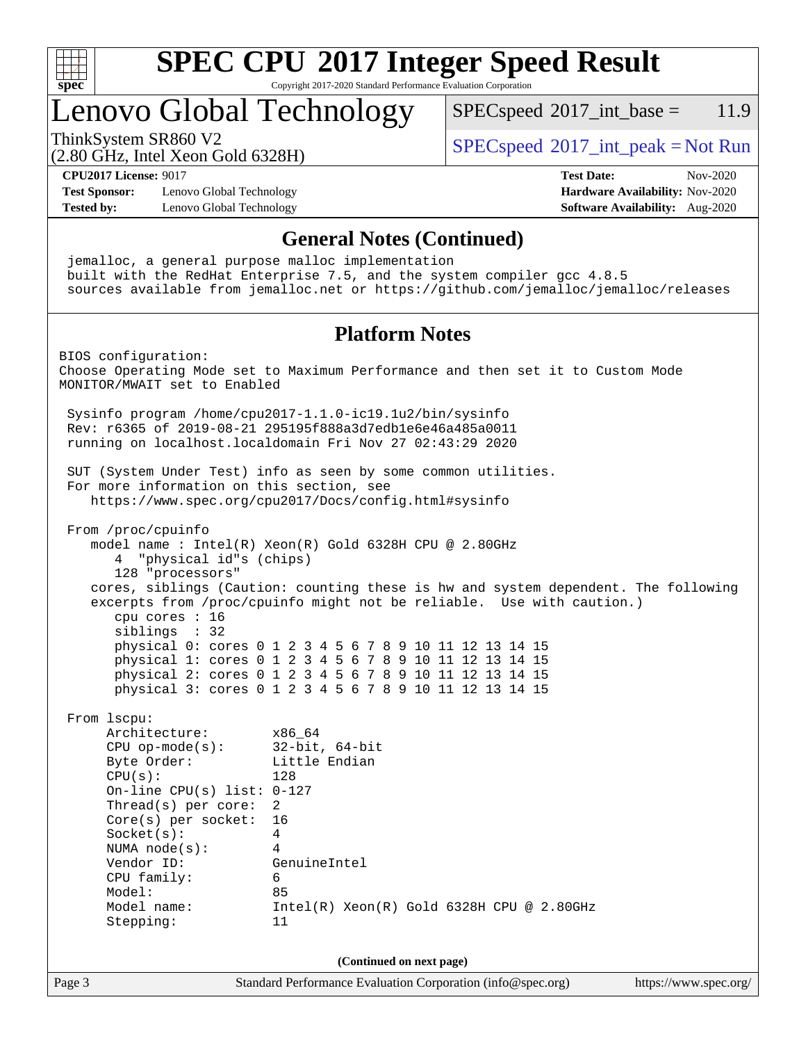

Copyright 2017-2020 Standard Performance Evaluation Corporation

## Lenovo Global Technology

 $SPECspeed^{\circ}2017\_int\_base = 11.9$  $SPECspeed^{\circ}2017\_int\_base = 11.9$ 

(2.80 GHz, Intel Xeon Gold 6328H)

ThinkSystem SR860 V2  $\begin{array}{c} \text{SPEC speed} \textdegree 2017\_int\_peak = Not Run \end{array}$ 

**[CPU2017 License:](http://www.spec.org/auto/cpu2017/Docs/result-fields.html#CPU2017License)** 9017 **[Test Date:](http://www.spec.org/auto/cpu2017/Docs/result-fields.html#TestDate)** Nov-2020

**[Test Sponsor:](http://www.spec.org/auto/cpu2017/Docs/result-fields.html#TestSponsor)** Lenovo Global Technology **[Hardware Availability:](http://www.spec.org/auto/cpu2017/Docs/result-fields.html#HardwareAvailability)** Nov-2020 **[Tested by:](http://www.spec.org/auto/cpu2017/Docs/result-fields.html#Testedby)** Lenovo Global Technology **[Software Availability:](http://www.spec.org/auto/cpu2017/Docs/result-fields.html#SoftwareAvailability)** Aug-2020

#### **[General Notes \(Continued\)](http://www.spec.org/auto/cpu2017/Docs/result-fields.html#GeneralNotes)**

 jemalloc, a general purpose malloc implementation built with the RedHat Enterprise 7.5, and the system compiler gcc 4.8.5 sources available from jemalloc.net or <https://github.com/jemalloc/jemalloc/releases> **[Platform Notes](http://www.spec.org/auto/cpu2017/Docs/result-fields.html#PlatformNotes)** BIOS configuration: Choose Operating Mode set to Maximum Performance and then set it to Custom Mode MONITOR/MWAIT set to Enabled Sysinfo program /home/cpu2017-1.1.0-ic19.1u2/bin/sysinfo Rev: r6365 of 2019-08-21 295195f888a3d7edb1e6e46a485a0011 running on localhost.localdomain Fri Nov 27 02:43:29 2020 SUT (System Under Test) info as seen by some common utilities. For more information on this section, see <https://www.spec.org/cpu2017/Docs/config.html#sysinfo> From /proc/cpuinfo model name : Intel(R) Xeon(R) Gold 6328H CPU @ 2.80GHz 4 "physical id"s (chips) 128 "processors" cores, siblings (Caution: counting these is hw and system dependent. The following excerpts from /proc/cpuinfo might not be reliable. Use with caution.) cpu cores : 16 siblings : 32 physical 0: cores 0 1 2 3 4 5 6 7 8 9 10 11 12 13 14 15 physical 1: cores 0 1 2 3 4 5 6 7 8 9 10 11 12 13 14 15 physical 2: cores 0 1 2 3 4 5 6 7 8 9 10 11 12 13 14 15 physical 3: cores 0 1 2 3 4 5 6 7 8 9 10 11 12 13 14 15 From lscpu: Architecture: x86\_64 CPU op-mode(s): 32-bit, 64-bit Byte Order: Little Endian CPU(s): 128 On-line CPU(s) list: 0-127 Thread(s) per core: 2 Core(s) per socket: 16 Socket(s): 4 NUMA node(s): 4 Vendor ID: GenuineIntel CPU family: 6 Model: 85 Model name: Intel(R) Xeon(R) Gold 6328H CPU @ 2.80GHz Stepping: 11 **(Continued on next page)**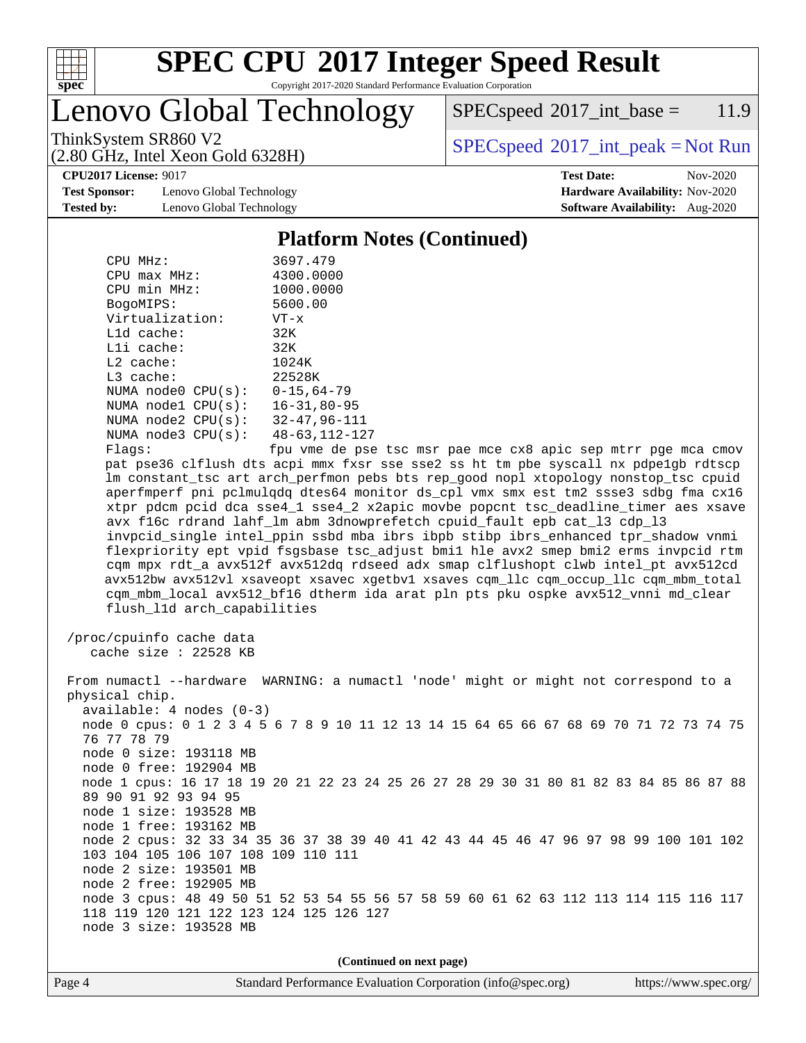

Copyright 2017-2020 Standard Performance Evaluation Corporation

Lenovo Global Technology

 $SPEC speed^{\circ}2017\_int\_base = 11.9$ 

(2.80 GHz, Intel Xeon Gold 6328H)

ThinkSystem SR860 V2  $\begin{array}{c} \text{SPEC speed} \textdegree 2017\_int\_peak = Not Run \end{array}$ 

**[CPU2017 License:](http://www.spec.org/auto/cpu2017/Docs/result-fields.html#CPU2017License)** 9017 **[Test Date:](http://www.spec.org/auto/cpu2017/Docs/result-fields.html#TestDate)** Nov-2020

**[Test Sponsor:](http://www.spec.org/auto/cpu2017/Docs/result-fields.html#TestSponsor)** Lenovo Global Technology **[Hardware Availability:](http://www.spec.org/auto/cpu2017/Docs/result-fields.html#HardwareAvailability)** Nov-2020 **[Tested by:](http://www.spec.org/auto/cpu2017/Docs/result-fields.html#Testedby)** Lenovo Global Technology **[Software Availability:](http://www.spec.org/auto/cpu2017/Docs/result-fields.html#SoftwareAvailability)** Aug-2020

#### **[Platform Notes \(Continued\)](http://www.spec.org/auto/cpu2017/Docs/result-fields.html#PlatformNotes)**

| CPU MHz:                    | 3697.479             |
|-----------------------------|----------------------|
| $CPU$ max $MHz$ :           | 4300.0000            |
| CPU min MHz:                | 1000.0000            |
| BogoMIPS:                   | 5600.00              |
| Virtualization:             | $VT - x$             |
| $L1d$ cache:                | 32K                  |
| Lli cache:                  | 32K                  |
| $L2$ cache:                 | 1024K                |
| $L3$ cache:                 | 22528K               |
| NUMA node0 CPU(s):          | $0 - 15.64 - 79$     |
| NUMA node1 CPU(s):          | $16 - 31, 80 - 95$   |
| NUMA node2 CPU(s):          | $32 - 47.96 - 111$   |
| NUMA node3 CPU(s):          | $48 - 63, 112 - 127$ |
| $\Gamma$ ] arc $^{\bullet}$ | fnu wa de nee        |

Flags: fpu vme de pse tsc msr pae mce cx8 apic sep mtrr pge mca cmov pat pse36 clflush dts acpi mmx fxsr sse sse2 ss ht tm pbe syscall nx pdpe1gb rdtscp lm constant\_tsc art arch\_perfmon pebs bts rep\_good nopl xtopology nonstop\_tsc cpuid aperfmperf pni pclmulqdq dtes64 monitor ds\_cpl vmx smx est tm2 ssse3 sdbg fma cx16 xtpr pdcm pcid dca sse4\_1 sse4\_2 x2apic movbe popcnt tsc\_deadline\_timer aes xsave avx f16c rdrand lahf\_lm abm 3dnowprefetch cpuid\_fault epb cat\_l3 cdp\_l3 invpcid\_single intel\_ppin ssbd mba ibrs ibpb stibp ibrs\_enhanced tpr\_shadow vnmi flexpriority ept vpid fsgsbase tsc\_adjust bmi1 hle avx2 smep bmi2 erms invpcid rtm cqm mpx rdt\_a avx512f avx512dq rdseed adx smap clflushopt clwb intel\_pt avx512cd avx512bw avx512vl xsaveopt xsavec xgetbv1 xsaves cqm\_llc cqm\_occup\_llc cqm\_mbm\_total cqm\_mbm\_local avx512\_bf16 dtherm ida arat pln pts pku ospke avx512\_vnni md\_clear flush\_l1d arch\_capabilities

 /proc/cpuinfo cache data cache size : 22528 KB

 From numactl --hardware WARNING: a numactl 'node' might or might not correspond to a physical chip. available: 4 nodes (0-3) node 0 cpus: 0 1 2 3 4 5 6 7 8 9 10 11 12 13 14 15 64 65 66 67 68 69 70 71 72 73 74 75 76 77 78 79 node 0 size: 193118 MB node 0 free: 192904 MB node 1 cpus: 16 17 18 19 20 21 22 23 24 25 26 27 28 29 30 31 80 81 82 83 84 85 86 87 88 89 90 91 92 93 94 95 node 1 size: 193528 MB node 1 free: 193162 MB node 2 cpus: 32 33 34 35 36 37 38 39 40 41 42 43 44 45 46 47 96 97 98 99 100 101 102 103 104 105 106 107 108 109 110 111 node 2 size: 193501 MB node 2 free: 192905 MB node 3 cpus: 48 49 50 51 52 53 54 55 56 57 58 59 60 61 62 63 112 113 114 115 116 117 118 119 120 121 122 123 124 125 126 127 node 3 size: 193528 MB

**(Continued on next page)**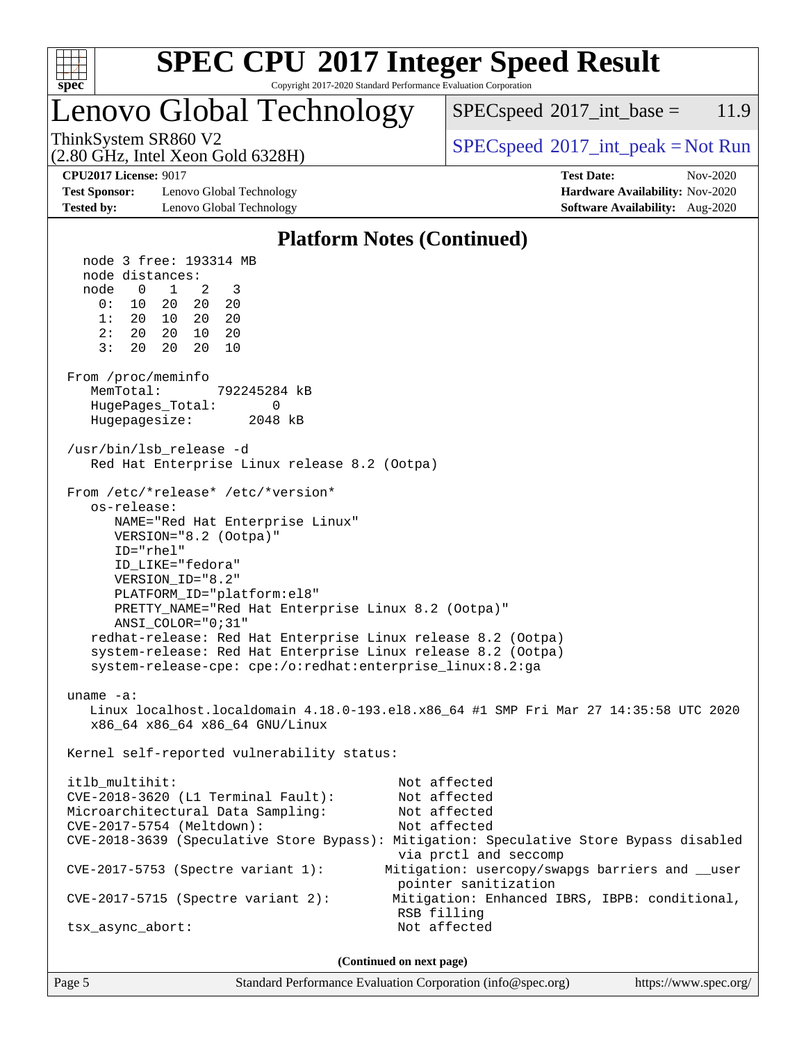

Copyright 2017-2020 Standard Performance Evaluation Corporation

## Lenovo Global Technology

 $SPECspeed^{\circ}2017\_int\_base = 11.9$  $SPECspeed^{\circ}2017\_int\_base = 11.9$ 

(2.80 GHz, Intel Xeon Gold 6328H)

ThinkSystem SR860 V2<br>  $\begin{array}{c}\n\text{SPEC speed} \textdegree 2017\_int\_peak = Not Run\n\end{array}$ 

**[Test Sponsor:](http://www.spec.org/auto/cpu2017/Docs/result-fields.html#TestSponsor)** Lenovo Global Technology **[Hardware Availability:](http://www.spec.org/auto/cpu2017/Docs/result-fields.html#HardwareAvailability)** Nov-2020 **[Tested by:](http://www.spec.org/auto/cpu2017/Docs/result-fields.html#Testedby)** Lenovo Global Technology **[Software Availability:](http://www.spec.org/auto/cpu2017/Docs/result-fields.html#SoftwareAvailability)** Aug-2020

**[CPU2017 License:](http://www.spec.org/auto/cpu2017/Docs/result-fields.html#CPU2017License)** 9017 **[Test Date:](http://www.spec.org/auto/cpu2017/Docs/result-fields.html#TestDate)** Nov-2020

#### **[Platform Notes \(Continued\)](http://www.spec.org/auto/cpu2017/Docs/result-fields.html#PlatformNotes)**

 node 3 free: 193314 MB node distances: node 0 1 2 3 0: 10 20 20 20 1: 20 10 20 20 2: 20 20 10 20 3: 20 20 20 10 From /proc/meminfo MemTotal: 792245284 kB HugePages\_Total: 0 Hugepagesize: 2048 kB /usr/bin/lsb\_release -d Red Hat Enterprise Linux release 8.2 (Ootpa) From /etc/\*release\* /etc/\*version\* os-release: NAME="Red Hat Enterprise Linux" VERSION="8.2 (Ootpa)" ID="rhel" ID\_LIKE="fedora" VERSION\_ID="8.2" PLATFORM\_ID="platform:el8" PRETTY\_NAME="Red Hat Enterprise Linux 8.2 (Ootpa)" ANSI\_COLOR="0;31" redhat-release: Red Hat Enterprise Linux release 8.2 (Ootpa) system-release: Red Hat Enterprise Linux release 8.2 (Ootpa) system-release-cpe: cpe:/o:redhat:enterprise\_linux:8.2:ga uname -a: Linux localhost.localdomain 4.18.0-193.el8.x86\_64 #1 SMP Fri Mar 27 14:35:58 UTC 2020 x86\_64 x86\_64 x86\_64 GNU/Linux Kernel self-reported vulnerability status: itlb\_multihit: Not affected CVE-2018-3620 (L1 Terminal Fault): Not affected Microarchitectural Data Sampling: Not affected CVE-2017-5754 (Meltdown): Not affected CVE-2018-3639 (Speculative Store Bypass): Mitigation: Speculative Store Bypass disabled via prctl and seccomp CVE-2017-5753 (Spectre variant 1): Mitigation: usercopy/swapgs barriers and \_\_user pointer sanitization CVE-2017-5715 (Spectre variant 2): Mitigation: Enhanced IBRS, IBPB: conditional, RSB filling tsx\_async\_abort: Not affected **(Continued on next page)**

Page 5 Standard Performance Evaluation Corporation [\(info@spec.org\)](mailto:info@spec.org) <https://www.spec.org/>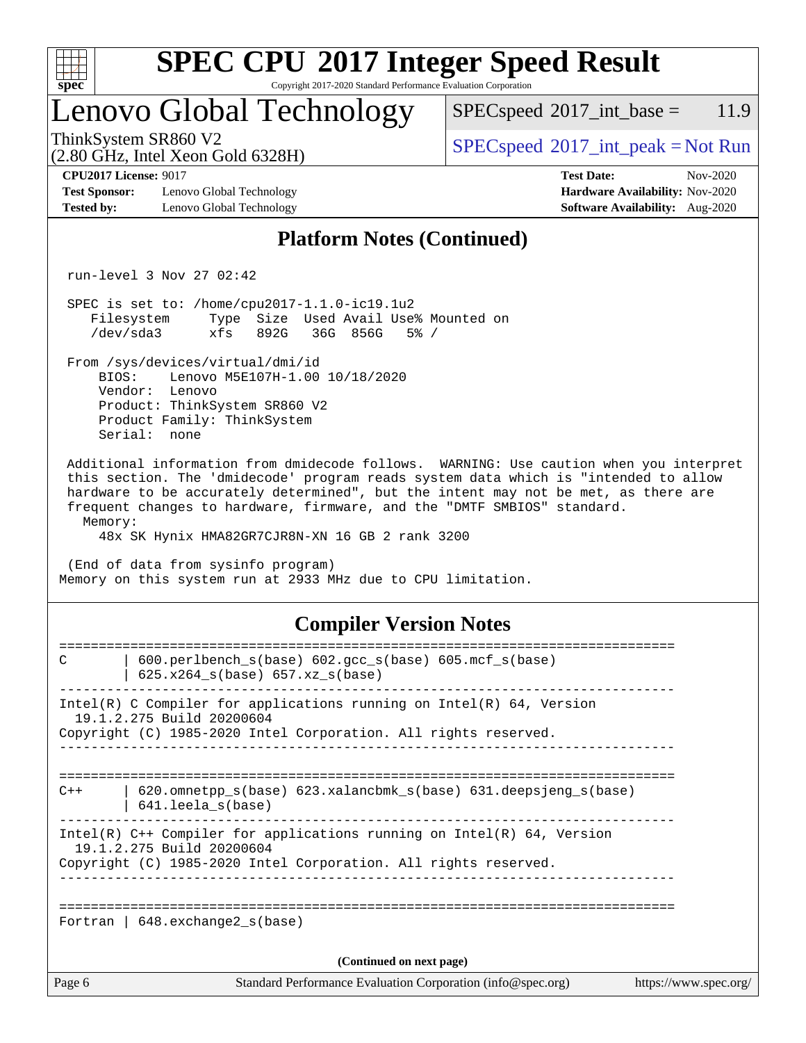

Copyright 2017-2020 Standard Performance Evaluation Corporation

## Lenovo Global Technology

 $SPEC speed^{\circ}2017\_int\_base = 11.9$ 

(2.80 GHz, Intel Xeon Gold 6328H)

ThinkSystem SR860 V2<br>  $\begin{array}{c}\n\text{SPEC speed} \textdegree 2017\_int\_peak = Not Run\n\end{array}$ 

**[CPU2017 License:](http://www.spec.org/auto/cpu2017/Docs/result-fields.html#CPU2017License)** 9017 **[Test Date:](http://www.spec.org/auto/cpu2017/Docs/result-fields.html#TestDate)** Nov-2020

**[Test Sponsor:](http://www.spec.org/auto/cpu2017/Docs/result-fields.html#TestSponsor)** Lenovo Global Technology **[Hardware Availability:](http://www.spec.org/auto/cpu2017/Docs/result-fields.html#HardwareAvailability)** Nov-2020 **[Tested by:](http://www.spec.org/auto/cpu2017/Docs/result-fields.html#Testedby)** Lenovo Global Technology **[Software Availability:](http://www.spec.org/auto/cpu2017/Docs/result-fields.html#SoftwareAvailability)** Aug-2020

## **[Platform Notes \(Continued\)](http://www.spec.org/auto/cpu2017/Docs/result-fields.html#PlatformNotes)**

run-level 3 Nov 27 02:42

 SPEC is set to: /home/cpu2017-1.1.0-ic19.1u2 Filesystem Type Size Used Avail Use% Mounted on /dev/sda3 xfs 892G 36G 856G 5% /

From /sys/devices/virtual/dmi/id

 BIOS: Lenovo M5E107H-1.00 10/18/2020 Vendor: Lenovo Product: ThinkSystem SR860 V2 Product Family: ThinkSystem Serial: none

 Additional information from dmidecode follows. WARNING: Use caution when you interpret this section. The 'dmidecode' program reads system data which is "intended to allow hardware to be accurately determined", but the intent may not be met, as there are frequent changes to hardware, firmware, and the "DMTF SMBIOS" standard. Memory:

48x SK Hynix HMA82GR7CJR8N-XN 16 GB 2 rank 3200

 (End of data from sysinfo program) Memory on this system run at 2933 MHz due to CPU limitation.

#### **[Compiler Version Notes](http://www.spec.org/auto/cpu2017/Docs/result-fields.html#CompilerVersionNotes)**

| Fortran   $648$ . exchange2 $s(base)$<br>(Continued on next page)                                                                                                        | https://www.spec.org/ |
|--------------------------------------------------------------------------------------------------------------------------------------------------------------------------|-----------------------|
|                                                                                                                                                                          |                       |
|                                                                                                                                                                          |                       |
| Intel(R) $C++$ Compiler for applications running on Intel(R) 64, Version<br>19.1.2.275 Build 20200604<br>Copyright (C) 1985-2020 Intel Corporation. All rights reserved. |                       |
| $620$ .omnetpp $s(base)$ 623.xalancbmk $s(base)$ 631.deepsjeng $s(base)$<br>$C++$<br>$641.$ leela $s$ (base)                                                             |                       |
| Intel(R) C Compiler for applications running on Intel(R) $64$ , Version<br>19.1.2.275 Build 20200604<br>Copyright (C) 1985-2020 Intel Corporation. All rights reserved.  |                       |
| $600.$ perlbench $s(base)$ $602.$ qcc $s(base)$ $605.$ mcf $s(base)$<br>$\mathcal{C}$<br>$625.x264_s(base) 657.xz_s(base)$                                               |                       |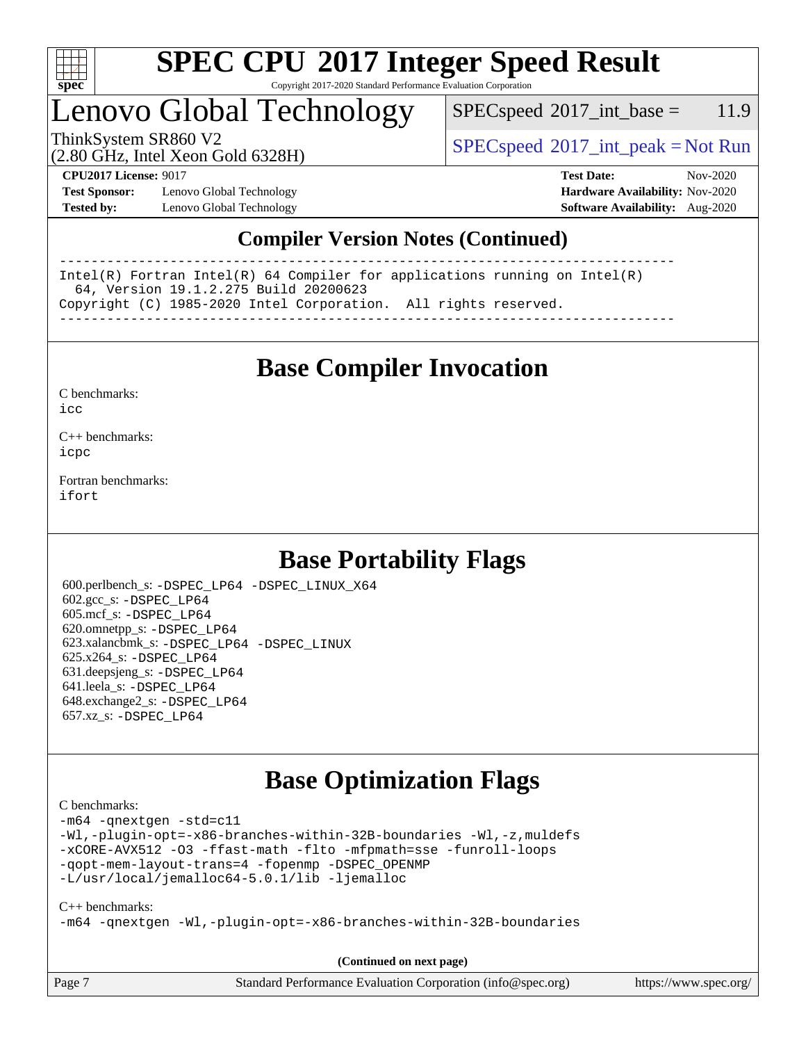

Copyright 2017-2020 Standard Performance Evaluation Corporation

## Lenovo Global Technology

 $SPEC speed^{\circ}2017\_int\_base = 11.9$ 

(2.80 GHz, Intel Xeon Gold 6328H)

ThinkSystem SR860 V2  $\begin{array}{c} \text{SPEC speed} \textdegree 2017\_int\_peak = Not Run \end{array}$ 

**[Test Sponsor:](http://www.spec.org/auto/cpu2017/Docs/result-fields.html#TestSponsor)** Lenovo Global Technology **[Hardware Availability:](http://www.spec.org/auto/cpu2017/Docs/result-fields.html#HardwareAvailability)** Nov-2020 **[Tested by:](http://www.spec.org/auto/cpu2017/Docs/result-fields.html#Testedby)** Lenovo Global Technology **[Software Availability:](http://www.spec.org/auto/cpu2017/Docs/result-fields.html#SoftwareAvailability)** Aug-2020

**[CPU2017 License:](http://www.spec.org/auto/cpu2017/Docs/result-fields.html#CPU2017License)** 9017 **[Test Date:](http://www.spec.org/auto/cpu2017/Docs/result-fields.html#TestDate)** Nov-2020

#### **[Compiler Version Notes \(Continued\)](http://www.spec.org/auto/cpu2017/Docs/result-fields.html#CompilerVersionNotes)**

------------------------------------------------------------------------------ Intel(R) Fortran Intel(R) 64 Compiler for applications running on Intel(R) 64, Version 19.1.2.275 Build 20200623 Copyright (C) 1985-2020 Intel Corporation. All rights reserved. ------------------------------------------------------------------------------

**[Base Compiler Invocation](http://www.spec.org/auto/cpu2017/Docs/result-fields.html#BaseCompilerInvocation)**

[C benchmarks](http://www.spec.org/auto/cpu2017/Docs/result-fields.html#Cbenchmarks):  $i$ cc

[C++ benchmarks:](http://www.spec.org/auto/cpu2017/Docs/result-fields.html#CXXbenchmarks) [icpc](http://www.spec.org/cpu2017/results/res2020q4/cpu2017-20201207-24544.flags.html#user_CXXbase_intel_icpc_c510b6838c7f56d33e37e94d029a35b4a7bccf4766a728ee175e80a419847e808290a9b78be685c44ab727ea267ec2f070ec5dc83b407c0218cded6866a35d07)

[Fortran benchmarks](http://www.spec.org/auto/cpu2017/Docs/result-fields.html#Fortranbenchmarks): [ifort](http://www.spec.org/cpu2017/results/res2020q4/cpu2017-20201207-24544.flags.html#user_FCbase_intel_ifort_8111460550e3ca792625aed983ce982f94888b8b503583aa7ba2b8303487b4d8a21a13e7191a45c5fd58ff318f48f9492884d4413fa793fd88dd292cad7027ca)

## **[Base Portability Flags](http://www.spec.org/auto/cpu2017/Docs/result-fields.html#BasePortabilityFlags)**

 600.perlbench\_s: [-DSPEC\\_LP64](http://www.spec.org/cpu2017/results/res2020q4/cpu2017-20201207-24544.flags.html#b600.perlbench_s_basePORTABILITY_DSPEC_LP64) [-DSPEC\\_LINUX\\_X64](http://www.spec.org/cpu2017/results/res2020q4/cpu2017-20201207-24544.flags.html#b600.perlbench_s_baseCPORTABILITY_DSPEC_LINUX_X64) 602.gcc\_s: [-DSPEC\\_LP64](http://www.spec.org/cpu2017/results/res2020q4/cpu2017-20201207-24544.flags.html#suite_basePORTABILITY602_gcc_s_DSPEC_LP64) 605.mcf\_s: [-DSPEC\\_LP64](http://www.spec.org/cpu2017/results/res2020q4/cpu2017-20201207-24544.flags.html#suite_basePORTABILITY605_mcf_s_DSPEC_LP64) 620.omnetpp\_s: [-DSPEC\\_LP64](http://www.spec.org/cpu2017/results/res2020q4/cpu2017-20201207-24544.flags.html#suite_basePORTABILITY620_omnetpp_s_DSPEC_LP64) 623.xalancbmk\_s: [-DSPEC\\_LP64](http://www.spec.org/cpu2017/results/res2020q4/cpu2017-20201207-24544.flags.html#suite_basePORTABILITY623_xalancbmk_s_DSPEC_LP64) [-DSPEC\\_LINUX](http://www.spec.org/cpu2017/results/res2020q4/cpu2017-20201207-24544.flags.html#b623.xalancbmk_s_baseCXXPORTABILITY_DSPEC_LINUX) 625.x264\_s: [-DSPEC\\_LP64](http://www.spec.org/cpu2017/results/res2020q4/cpu2017-20201207-24544.flags.html#suite_basePORTABILITY625_x264_s_DSPEC_LP64) 631.deepsjeng\_s: [-DSPEC\\_LP64](http://www.spec.org/cpu2017/results/res2020q4/cpu2017-20201207-24544.flags.html#suite_basePORTABILITY631_deepsjeng_s_DSPEC_LP64) 641.leela\_s: [-DSPEC\\_LP64](http://www.spec.org/cpu2017/results/res2020q4/cpu2017-20201207-24544.flags.html#suite_basePORTABILITY641_leela_s_DSPEC_LP64) 648.exchange2\_s: [-DSPEC\\_LP64](http://www.spec.org/cpu2017/results/res2020q4/cpu2017-20201207-24544.flags.html#suite_basePORTABILITY648_exchange2_s_DSPEC_LP64) 657.xz\_s: [-DSPEC\\_LP64](http://www.spec.org/cpu2017/results/res2020q4/cpu2017-20201207-24544.flags.html#suite_basePORTABILITY657_xz_s_DSPEC_LP64)

## **[Base Optimization Flags](http://www.spec.org/auto/cpu2017/Docs/result-fields.html#BaseOptimizationFlags)**

[C benchmarks](http://www.spec.org/auto/cpu2017/Docs/result-fields.html#Cbenchmarks):

[-m64](http://www.spec.org/cpu2017/results/res2020q4/cpu2017-20201207-24544.flags.html#user_CCbase_m64-icc) [-qnextgen](http://www.spec.org/cpu2017/results/res2020q4/cpu2017-20201207-24544.flags.html#user_CCbase_f-qnextgen) [-std=c11](http://www.spec.org/cpu2017/results/res2020q4/cpu2017-20201207-24544.flags.html#user_CCbase_std-icc-std_0e1c27790398a4642dfca32ffe6c27b5796f9c2d2676156f2e42c9c44eaad0c049b1cdb667a270c34d979996257aeb8fc440bfb01818dbc9357bd9d174cb8524) [-Wl,-plugin-opt=-x86-branches-within-32B-boundaries](http://www.spec.org/cpu2017/results/res2020q4/cpu2017-20201207-24544.flags.html#user_CCbase_f-x86-branches-within-32B-boundaries_0098b4e4317ae60947b7b728078a624952a08ac37a3c797dfb4ffeb399e0c61a9dd0f2f44ce917e9361fb9076ccb15e7824594512dd315205382d84209e912f3) [-Wl,-z,muldefs](http://www.spec.org/cpu2017/results/res2020q4/cpu2017-20201207-24544.flags.html#user_CCbase_link_force_multiple1_b4cbdb97b34bdee9ceefcfe54f4c8ea74255f0b02a4b23e853cdb0e18eb4525ac79b5a88067c842dd0ee6996c24547a27a4b99331201badda8798ef8a743f577) [-xCORE-AVX512](http://www.spec.org/cpu2017/results/res2020q4/cpu2017-20201207-24544.flags.html#user_CCbase_f-xCORE-AVX512) [-O3](http://www.spec.org/cpu2017/results/res2020q4/cpu2017-20201207-24544.flags.html#user_CCbase_f-O3) [-ffast-math](http://www.spec.org/cpu2017/results/res2020q4/cpu2017-20201207-24544.flags.html#user_CCbase_f-ffast-math) [-flto](http://www.spec.org/cpu2017/results/res2020q4/cpu2017-20201207-24544.flags.html#user_CCbase_f-flto) [-mfpmath=sse](http://www.spec.org/cpu2017/results/res2020q4/cpu2017-20201207-24544.flags.html#user_CCbase_f-mfpmath_70eb8fac26bde974f8ab713bc9086c5621c0b8d2f6c86f38af0bd7062540daf19db5f3a066d8c6684be05d84c9b6322eb3b5be6619d967835195b93d6c02afa1) [-funroll-loops](http://www.spec.org/cpu2017/results/res2020q4/cpu2017-20201207-24544.flags.html#user_CCbase_f-funroll-loops) [-qopt-mem-layout-trans=4](http://www.spec.org/cpu2017/results/res2020q4/cpu2017-20201207-24544.flags.html#user_CCbase_f-qopt-mem-layout-trans_fa39e755916c150a61361b7846f310bcdf6f04e385ef281cadf3647acec3f0ae266d1a1d22d972a7087a248fd4e6ca390a3634700869573d231a252c784941a8) [-fopenmp](http://www.spec.org/cpu2017/results/res2020q4/cpu2017-20201207-24544.flags.html#user_CCbase_fopenmp_5aa2e47ce4f2ef030ba5d12d5a7a9c4e57167333d78243fcadb80b48d5abb78ff19333f8478e0b2a41e63049eb285965c145ccab7b93db7d0c4d59e4dc6f5591) [-DSPEC\\_OPENMP](http://www.spec.org/cpu2017/results/res2020q4/cpu2017-20201207-24544.flags.html#suite_CCbase_DSPEC_OPENMP) [-L/usr/local/jemalloc64-5.0.1/lib](http://www.spec.org/cpu2017/results/res2020q4/cpu2017-20201207-24544.flags.html#user_CCbase_jemalloc_link_path64_1_cc289568b1a6c0fd3b62c91b824c27fcb5af5e8098e6ad028160d21144ef1b8aef3170d2acf0bee98a8da324cfe4f67d0a3d0c4cc4673d993d694dc2a0df248b) [-ljemalloc](http://www.spec.org/cpu2017/results/res2020q4/cpu2017-20201207-24544.flags.html#user_CCbase_jemalloc_link_lib_d1249b907c500fa1c0672f44f562e3d0f79738ae9e3c4a9c376d49f265a04b9c99b167ecedbf6711b3085be911c67ff61f150a17b3472be731631ba4d0471706)

#### [C++ benchmarks:](http://www.spec.org/auto/cpu2017/Docs/result-fields.html#CXXbenchmarks)

[-m64](http://www.spec.org/cpu2017/results/res2020q4/cpu2017-20201207-24544.flags.html#user_CXXbase_m64-icc) [-qnextgen](http://www.spec.org/cpu2017/results/res2020q4/cpu2017-20201207-24544.flags.html#user_CXXbase_f-qnextgen) [-Wl,-plugin-opt=-x86-branches-within-32B-boundaries](http://www.spec.org/cpu2017/results/res2020q4/cpu2017-20201207-24544.flags.html#user_CXXbase_f-x86-branches-within-32B-boundaries_0098b4e4317ae60947b7b728078a624952a08ac37a3c797dfb4ffeb399e0c61a9dd0f2f44ce917e9361fb9076ccb15e7824594512dd315205382d84209e912f3)

**(Continued on next page)**

| Page 7 | Standard Performance Evaluation Corporation (info@spec.org) | https://www.spec.org/ |
|--------|-------------------------------------------------------------|-----------------------|